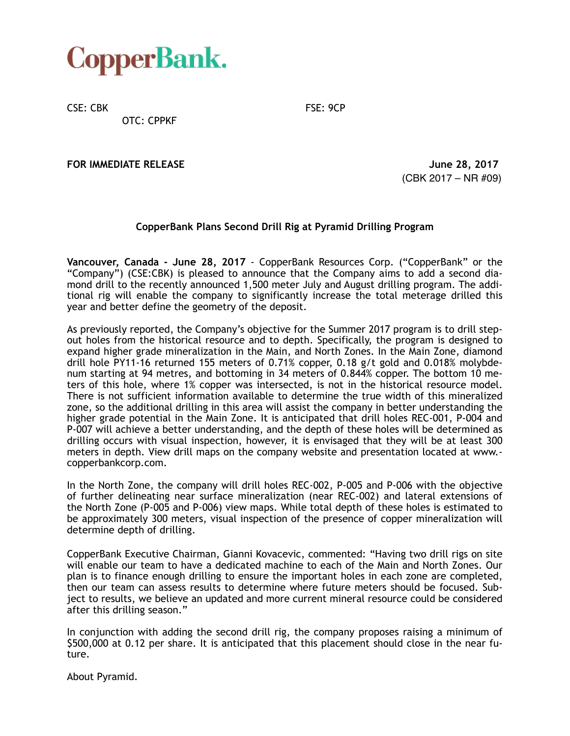

CSE: CBK FSE: 9CP

OTC: CPPKF

**FOR IMMEDIATE RELEASE** *CONTRACTE SECONDATE RELEASE CONTRACTE SECONDATE**June 28, 2017* 

(CBK 2017 – NR #09)

## **CopperBank Plans Second Drill Rig at Pyramid Drilling Program**

**Vancouver, Canada - June 28, 2017** - CopperBank Resources Corp. ("CopperBank" or the "Company") (CSE:CBK) is pleased to announce that the Company aims to add a second diamond drill to the recently announced 1,500 meter July and August drilling program. The additional rig will enable the company to significantly increase the total meterage drilled this year and better define the geometry of the deposit.

As previously reported, the Company's objective for the Summer 2017 program is to drill stepout holes from the historical resource and to depth. Specifically, the program is designed to expand higher grade mineralization in the Main, and North Zones. In the Main Zone, diamond drill hole PY11-16 returned 155 meters of 0.71% copper, 0.18 g/t gold and 0.018% molybdenum starting at 94 metres, and bottoming in 34 meters of 0.844% copper. The bottom 10 meters of this hole, where 1% copper was intersected, is not in the historical resource model. There is not sufficient information available to determine the true width of this mineralized zone, so the additional drilling in this area will assist the company in better understanding the higher grade potential in the Main Zone. It is anticipated that drill holes REC-001, P-004 and P-007 will achieve a better understanding, and the depth of these holes will be determined as drilling occurs with visual inspection, however, it is envisaged that they will be at least 300 meters in depth. View drill maps on the company website and presentation located at www. copperbankcorp.com.

In the North Zone, the company will drill holes REC-002, P-005 and P-006 with the objective of further delineating near surface mineralization (near REC-002) and lateral extensions of the North Zone (P-005 and P-006) view maps. While total depth of these holes is estimated to be approximately 300 meters, visual inspection of the presence of copper mineralization will determine depth of drilling.

CopperBank Executive Chairman, Gianni Kovacevic, commented: "Having two drill rigs on site will enable our team to have a dedicated machine to each of the Main and North Zones. Our plan is to finance enough drilling to ensure the important holes in each zone are completed, then our team can assess results to determine where future meters should be focused. Subject to results, we believe an updated and more current mineral resource could be considered after this drilling season."

In conjunction with adding the second drill rig, the company proposes raising a minimum of \$500,000 at 0.12 per share. It is anticipated that this placement should close in the near future.

About Pyramid.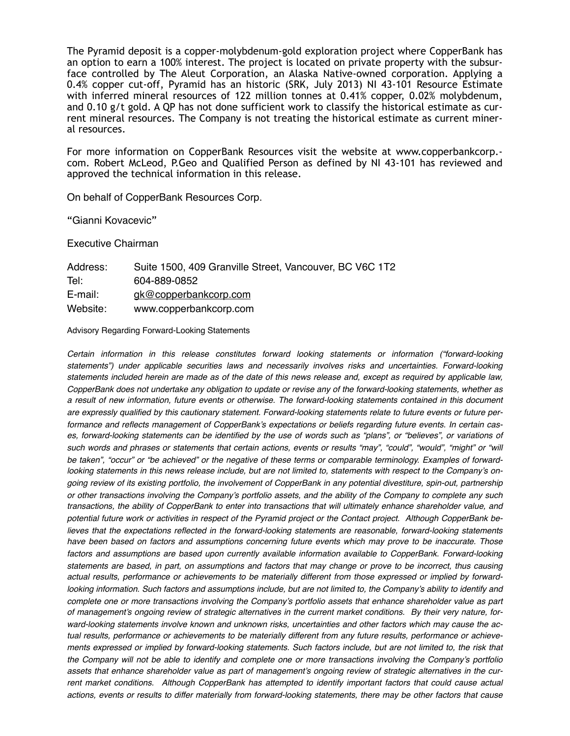The Pyramid deposit is a copper-molybdenum-gold exploration project where CopperBank has an option to earn a 100% interest. The project is located on private property with the subsurface controlled by The Aleut Corporation, an Alaska Native-owned corporation. Applying a 0.4% copper cut-off, Pyramid has an historic (SRK, July 2013) NI 43-101 Resource Estimate with inferred mineral resources of 122 million tonnes at 0.41% copper, 0.02% molybdenum, and 0.10 g/t gold. A QP has not done sufficient work to classify the historical estimate as current mineral resources. The Company is not treating the historical estimate as current mineral resources.

For more information on CopperBank Resources visit the website at www.copperbankcorp. com. Robert McLeod, P.Geo and Qualified Person as defined by NI 43-101 has reviewed and approved the technical information in this release.

On behalf of CopperBank Resources Corp.

"Gianni Kovacevic"

Executive Chairman

| Address: | Suite 1500, 409 Granville Street, Vancouver, BC V6C 1T2 |
|----------|---------------------------------------------------------|
| Tel:     | 604-889-0852                                            |
| E-mail:  | gk@copperbankcorp.com                                   |
| Website: | www.copperbankcorp.com                                  |

Advisory Regarding Forward-Looking Statements

*Certain information in this release constitutes forward looking statements or information ("forward-looking statements") under applicable securities laws and necessarily involves risks and uncertainties. Forward-looking statements included herein are made as of the date of this news release and, except as required by applicable law, CopperBank does not undertake any obligation to update or revise any of the forward-looking statements, whether as a result of new information, future events or otherwise. The forward-looking statements contained in this document are expressly qualified by this cautionary statement. Forward-looking statements relate to future events or future performance and reflects management of CopperBank's expectations or beliefs regarding future events. In certain cases, forward-looking statements can be identified by the use of words such as "plans", or "believes", or variations of such words and phrases or statements that certain actions, events or results "may", "could", "would", "might" or "will be taken", "occur" or "be achieved" or the negative of these terms or comparable terminology. Examples of forwardlooking statements in this news release include, but are not limited to, statements with respect to the Company's ongoing review of its existing portfolio, the involvement of CopperBank in any potential divestiture, spin-out, partnership or other transactions involving the Company's portfolio assets, and the ability of the Company to complete any such transactions, the ability of CopperBank to enter into transactions that will ultimately enhance shareholder value, and potential future work or activities in respect of the Pyramid project or the Contact project. Although CopperBank be*lieves that the expectations reflected in the forward-looking statements are reasonable, forward-looking statements *have been based on factors and assumptions concerning future events which may prove to be inaccurate. Those*  factors and assumptions are based upon currently available information available to CopperBank. Forward-looking *statements are based, in part, on assumptions and factors that may change or prove to be incorrect, thus causing actual results, performance or achievements to be materially different from those expressed or implied by forward*looking information. Such factors and assumptions include, but are not limited to, the Company's ability to identify and *complete one or more transactions involving the Company's portfolio assets that enhance shareholder value as part of management's ongoing review of strategic alternatives in the current market conditions. By their very nature, forward-looking statements involve known and unknown risks, uncertainties and other factors which may cause the actual results, performance or achievements to be materially different from any future results, performance or achieve*ments expressed or implied by forward-looking statements. Such factors include, but are not limited to, the risk that *the Company will not be able to identify and complete one or more transactions involving the Company's portfolio assets that enhance shareholder value as part of management's ongoing review of strategic alternatives in the cur*rent market conditions. Although CopperBank has attempted to identify important factors that could cause actual *actions, events or results to differ materially from forward-looking statements, there may be other factors that cause*